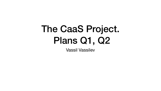### The CaaS Project. Plans Q1, Q2 Vassil Vassilev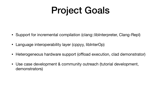## Project Goals

- Support for incremental compilation (clang::libInterpreter, Clang-Repl)
- Language interoperability layer (cppyy, libInterOp)
- Heterogeneous hardware support (offload execution, clad demonstrator)
- Use case development & community outreach (tutorial development, demonstrators)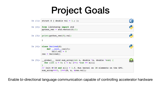### Project Goals

| In $[1]:$ struct S { double val = 1.;                                                                                         |
|-------------------------------------------------------------------------------------------------------------------------------|
| In [2]: from libInterop import std<br>python $vec = std.vector(S)$                                                            |
| In $[3]:$ print(python_vec[0].val)                                                                                            |
|                                                                                                                               |
| In $[4]$ : class Derived(S)<br>def __init (self):<br>$self.val = 0$<br>$res = Derived()$                                      |
| In [5]: global void sum array(in<br>for (int i = 0; i < n; i+<br>// Init N=1M and $x[i] = 1.f$<br>sum array<<<1, 1>>>(N, x, & |

Enable bi-directional language communication capable of controlling accelerator hardware



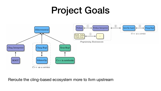### Project Goals







Reroute the cling-based ecosystem more to llvm upstream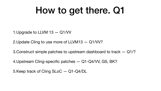1.Upgrade to LLVM 13 — Q1/VV 2.Update Cling to use more of LLVM13 — Q1/VV? 3.Construct simple patches to upstream dashboard to track — Q1/? 4.Upstream Cling-specific patches — Q1-Q4/VV, GS, BK? 5.Keep track of Cling SLoC — Q1-Q4/DL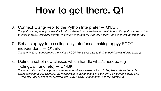*The python interpreter provides C API which allows to expose itself and switch to writing python code on the prompt. In ROOT this happens via TPython::Prompt and we want the modern version of this for clang-repl.* 

- 6. Connect Clang-Repl to the Python Interpreter Q1/BK
- 7. Rebase cppyy to use cling-only interfaces (making cppyy ROOTindependent) — Q1/BK
- 8. Define a set of new classes which handle what's needed (eg TClingCallFunc, etc) — Q1/BK

*The task is about transforming the various ROOT Meta layer calls to their underlying clang/cling analogs* 

The task is about extracting the common cases where we need a lot of boilerplate code and provide *abstractions for it. For example, the mechanism to call functions in a uniform way (currently done with TClingCallFunc) needs to modernized into its own ROOT-independent entity in libInterOp*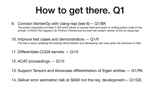*The python interpreter provides C API which allows to expose itself and switch to writing python code on the prompt. In ROOT this happens via TPython::Prompt and we want the modern version of this for clang-repl.* 

- 9. Connect libInterOp with clang-repl (see 6)— Q1/BK
- 10. Improve test cases and demonstrators Q1/II
- 11. Differentiate CUDA kernels Q1/II
- 12. ACAT proceedings Q1/II
- 
- 

*The task is about updating the existing demonstrators and developing new ones given the advances in Clad.* 

### 13. Support Tensors and showcase differentiation of Eigen entities — Q1/PA

14. Deliver error estimation talk at SIAM incl the req. development— Q1/GS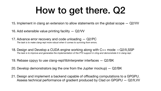- 15. Implement in clang an extension to allow statements on the global scope Q2/VV
- 16. Add extensible value printing facility Q2/VV
- 17. Advance error recovery and code unloading Q2/PC *The task is to make clang-repl more robust when it comes to surviving from errors.*
- 18. Design and Develop a CUDA engine working along with C++ mode —Q2/II,SSP *The task is to improve and generalize the implementation of the PTX support in cling and demonstrate it in clang-repl.*
- 19. Rebase cppyy to use clang-repl/libInterpreter interfaces Q2/BK
- 20. Develop demonstrators (eg the one from the Jupiter mockup) Q2/BK
- 21. Design and implement a backend capable of offloading computations to a GPGPU. Assess technical performance of gradient produced by Clad on GPGPU — Q2/II,VV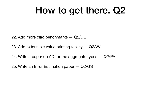- 22. Add more clad benchmarks Q2/DL
- 23. Add extensible value printing facility Q2/VV
- 24. Write a paper on AD for the aggregate types Q2/PA
- 25. Write an Error Estimation paper Q2/GS
-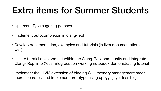### Extra items for Summer Students

- Upstream Type sugaring patches
- Implement autocompletion in clang-repl
- well)
- 
- 

• Develop documentation, examples and tutorials (in llvm documentation as

• Implement the LLVM extension of binding C++ memory management model more accurately and implement prototype using cppyy. [if yet feasible]

• Initiate tutorial development within the Clang-Repl community and integrate Clang- Repl into Xeus. Blog post on working notebook demonstrating tutorial